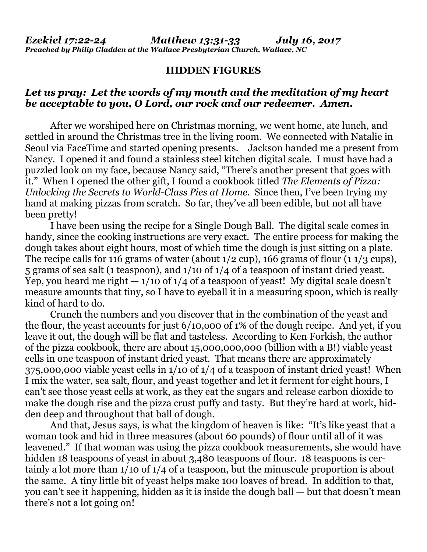## **HIDDEN FIGURES**

## *Let us pray: Let the words of my mouth and the meditation of my heart be acceptable to you, O Lord, our rock and our redeemer. Amen.*

After we worshiped here on Christmas morning, we went home, ate lunch, and settled in around the Christmas tree in the living room. We connected with Natalie in Seoul via FaceTime and started opening presents. Jackson handed me a present from Nancy. I opened it and found a stainless steel kitchen digital scale. I must have had a puzzled look on my face, because Nancy said, "There's another present that goes with it." When I opened the other gift, I found a cookbook titled *The Elements of Pizza: Unlocking the Secrets to World-Class Pies at Home*. Since then, I've been trying my hand at making pizzas from scratch. So far, they've all been edible, but not all have been pretty!

I have been using the recipe for a Single Dough Ball. The digital scale comes in handy, since the cooking instructions are very exact. The entire process for making the dough takes about eight hours, most of which time the dough is just sitting on a plate. The recipe calls for 116 grams of water (about 1/2 cup), 166 grams of flour (1 1/3 cups), 5 grams of sea salt (1 teaspoon), and 1/10 of 1/4 of a teaspoon of instant dried yeast. Yep, you heard me right  $-1/10$  of  $1/4$  of a teaspoon of yeast! My digital scale doesn't measure amounts that tiny, so I have to eyeball it in a measuring spoon, which is really kind of hard to do.

Crunch the numbers and you discover that in the combination of the yeast and the flour, the yeast accounts for just 6/10,o00 of 1% of the dough recipe. And yet, if you leave it out, the dough will be flat and tasteless. According to Ken Forkish, the author of the pizza cookbook, there are about 15,000,000,000 (billion with a B!) viable yeast cells in one teaspoon of instant dried yeast. That means there are approximately 375,000,000 viable yeast cells in 1/10 of 1/4 of a teaspoon of instant dried yeast! When I mix the water, sea salt, flour, and yeast together and let it ferment for eight hours, I can't see those yeast cells at work, as they eat the sugars and release carbon dioxide to make the dough rise and the pizza crust puffy and tasty. But they're hard at work, hidden deep and throughout that ball of dough.

And that, Jesus says, is what the kingdom of heaven is like: "It's like yeast that a woman took and hid in three measures (about 60 pounds) of flour until all of it was leavened." If that woman was using the pizza cookbook measurements, she would have hidden 18 teaspoons of yeast in about 3,480 teaspoons of flour. 18 teaspoons is certainly a lot more than 1/10 of 1/4 of a teaspoon, but the minuscule proportion is about the same. A tiny little bit of yeast helps make 100 loaves of bread. In addition to that, you can't see it happening, hidden as it is inside the dough ball — but that doesn't mean there's not a lot going on!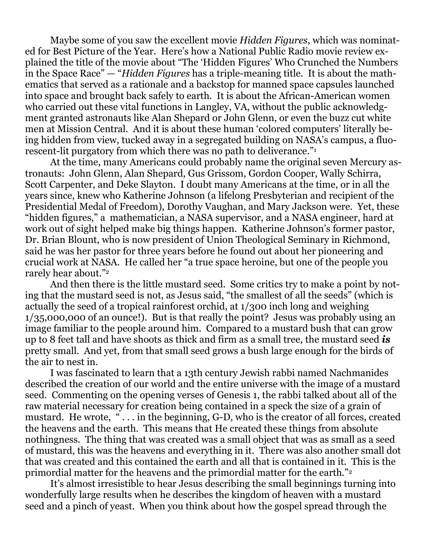Maybe some of you saw the excellent movie *Hidden Figures*, which was nominated for Best Picture of the Year. Here's how a National Public Radio movie review explained the title of the movie about "The 'Hidden Figures' Who Crunched the Numbers in the Space Race" — "*Hidden Figures* has a triple-meaning title. It is about the mathematics that served as a rationale and a backstop for manned space capsules launched into space and brought back safely to earth. It is about the African-American women who carried out these vital functions in Langley, VA, without the public acknowledgment granted astronauts like Alan Shepard or John Glenn, or even the buzz cut white men at Mission Central. And it is about these human 'colored computers' literally being hidden from view, tucked away in a segregated building on NASA's campus, a fluorescent-lit purgatory from which there was no path to deliverance."<sup>1</sup>

At the time, many Americans could probably name the original seven Mercury astronauts: John Glenn, Alan Shepard, Gus Grissom, Gordon Cooper, Wally Schirra, Scott Carpenter, and Deke Slayton. I doubt many Americans at the time, or in all the years since, knew who Katherine Johnson (a lifelong Presbyterian and recipient of the Presidential Medal of Freedom), Dorothy Vaughan, and Mary Jackson were. Yet, these "hidden figures," a mathematician, a NASA supervisor, and a NASA engineer, hard at work out of sight helped make big things happen. Katherine Johnson's former pastor, Dr. Brian Blount, who is now president of Union Theological Seminary in Richmond, said he was her pastor for three years before he found out about her pioneering and crucial work at NASA. He called her "a true space heroine, but one of the people you rarely hear about."<sup>2</sup>

And then there is the little mustard seed. Some critics try to make a point by noting that the mustard seed is not, as Jesus said, "the smallest of all the seeds" (which is actually the seed of a tropical rainforest orchid, at 1/300 inch long and weighing 1/35,000,000 of an ounce!). But is that really the point? Jesus was probably using an image familiar to the people around him. Compared to a mustard bush that can grow up to 8 feet tall and have shoots as thick and firm as a small tree, the mustard seed *is* pretty small. And yet, from that small seed grows a bush large enough for the birds of the air to nest in.

I was fascinated to learn that a 13th century Jewish rabbi named Nachmanides described the creation of our world and the entire universe with the image of a mustard seed. Commenting on the opening verses of Genesis 1, the rabbi talked about all of the raw material necessary for creation being contained in a speck the size of a grain of mustard. He wrote, "... in the beginning, G-D, who is the creator of all forces, created the heavens and the earth. This means that He created these things from absolute nothingness. The thing that was created was a small object that was as small as a seed of mustard, this was the heavens and everything in it. There was also another small dot that was created and this contained the earth and all that is contained in it. This is the primordial matter for the heavens and the primordial matter for the earth."<sup>2</sup>

It's almost irresistible to hear Jesus describing the small beginnings turning into wonderfully large results when he describes the kingdom of heaven with a mustard seed and a pinch of yeast. When you think about how the gospel spread through the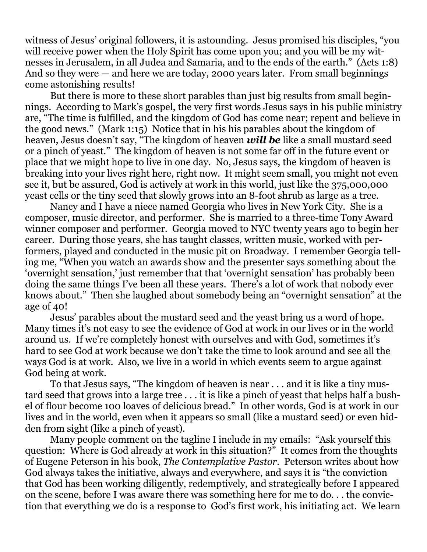witness of Jesus' original followers, it is astounding. Jesus promised his disciples, "you will receive power when the Holy Spirit has come upon you; and you will be my witnesses in Jerusalem, in all Judea and Samaria, and to the ends of the earth." (Acts 1:8) And so they were — and here we are today, 2000 years later. From small beginnings come astonishing results!

But there is more to these short parables than just big results from small beginnings. According to Mark's gospel, the very first words Jesus says in his public ministry are, "The time is fulfilled, and the kingdom of God has come near; repent and believe in the good news." (Mark 1:15) Notice that in his his parables about the kingdom of heaven, Jesus doesn't say, "The kingdom of heaven *will be* like a small mustard seed or a pinch of yeast." The kingdom of heaven is not some far off in the future event or place that we might hope to live in one day. No, Jesus says, the kingdom of heaven is breaking into your lives right here, right now. It might seem small, you might not even see it, but be assured, God is actively at work in this world, just like the 375,000,000 yeast cells or the tiny seed that slowly grows into an 8-foot shrub as large as a tree.

Nancy and I have a niece named Georgia who lives in New York City. She is a composer, music director, and performer. She is married to a three-time Tony Award winner composer and performer. Georgia moved to NYC twenty years ago to begin her career. During those years, she has taught classes, written music, worked with performers, played and conducted in the music pit on Broadway. I remember Georgia telling me, "When you watch an awards show and the presenter says something about the 'overnight sensation,' just remember that that 'overnight sensation' has probably been doing the same things I've been all these years. There's a lot of work that nobody ever knows about." Then she laughed about somebody being an "overnight sensation" at the age of 40!

Jesus' parables about the mustard seed and the yeast bring us a word of hope. Many times it's not easy to see the evidence of God at work in our lives or in the world around us. If we're completely honest with ourselves and with God, sometimes it's hard to see God at work because we don't take the time to look around and see all the ways God is at work. Also, we live in a world in which events seem to argue against God being at work.

To that Jesus says, "The kingdom of heaven is near . . . and it is like a tiny mustard seed that grows into a large tree . . . it is like a pinch of yeast that helps half a bushel of flour become 100 loaves of delicious bread." In other words, God is at work in our lives and in the world, even when it appears so small (like a mustard seed) or even hidden from sight (like a pinch of yeast).

Many people comment on the tagline I include in my emails: "Ask yourself this question: Where is God already at work in this situation?" It comes from the thoughts of Eugene Peterson in his book, *The Contemplative Pastor*. Peterson writes about how God always takes the initiative, always and everywhere, and says it is "the conviction that God has been working diligently, redemptively, and strategically before I appeared on the scene, before I was aware there was something here for me to do. . . the conviction that everything we do is a response to God's first work, his initiating act. We learn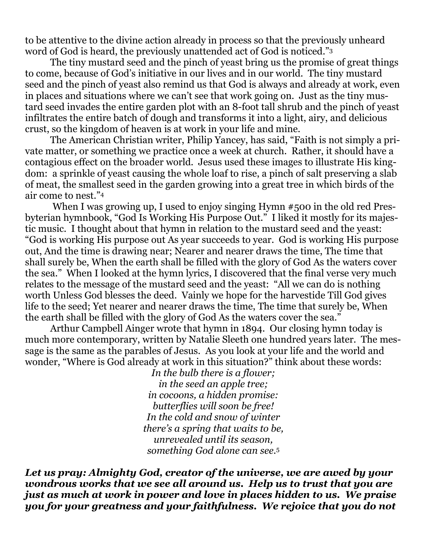to be attentive to the divine action already in process so that the previously unheard word of God is heard, the previously unattended act of God is noticed."<sup>3</sup>

The tiny mustard seed and the pinch of yeast bring us the promise of great things to come, because of God's initiative in our lives and in our world. The tiny mustard seed and the pinch of yeast also remind us that God is always and already at work, even in places and situations where we can't see that work going on. Just as the tiny mustard seed invades the entire garden plot with an 8-foot tall shrub and the pinch of yeast infiltrates the entire batch of dough and transforms it into a light, airy, and delicious crust, so the kingdom of heaven is at work in your life and mine.

The American Christian writer, Philip Yancey, has said, "Faith is not simply a private matter, or something we practice once a week at church. Rather, it should have a contagious effect on the broader world. Jesus used these images to illustrate His kingdom: a sprinkle of yeast causing the whole loaf to rise, a pinch of salt preserving a slab of meat, the smallest seed in the garden growing into a great tree in which birds of the air come to nest."<sup>4</sup>

When I was growing up, I used to enjoy singing Hymn #500 in the old red Presbyterian hymnbook, "God Is Working His Purpose Out." I liked it mostly for its majestic music. I thought about that hymn in relation to the mustard seed and the yeast: "God is working His purpose out As year succeeds to year. God is working His purpose out, And the time is drawing near; Nearer and nearer draws the time, The time that shall surely be, When the earth shall be filled with the glory of God As the waters cover the sea." When I looked at the hymn lyrics, I discovered that the final verse very much relates to the message of the mustard seed and the yeast: "All we can do is nothing worth Unless God blesses the deed. Vainly we hope for the harvestide Till God gives life to the seed; Yet nearer and nearer draws the time. The time that surely be. When the earth shall be filled with the glory of God As the waters cover the sea."

Arthur Campbell Ainger wrote that hymn in 1894. Our closing hymn today is much more contemporary, written by Natalie Sleeth one hundred years later. The message is the same as the parables of Jesus. As you look at your life and the world and wonder, "Where is God already at work in this situation?" think about these words:

> *In the bulb there is a flower; in the seed an apple tree; in cocoons, a hidden promise: butterflies will soon be free! In the cold and snow of winter there's a spring that waits to be, unrevealed until its season, something God alone can see.*<sup>5</sup>

*Let us pray: Almighty God, creator of the universe, we are awed by your wondrous works that we see all around us. Help us to trust that you are just as much at work in power and love in places hidden to us. We praise you for your greatness and your faithfulness. We rejoice that you do not*